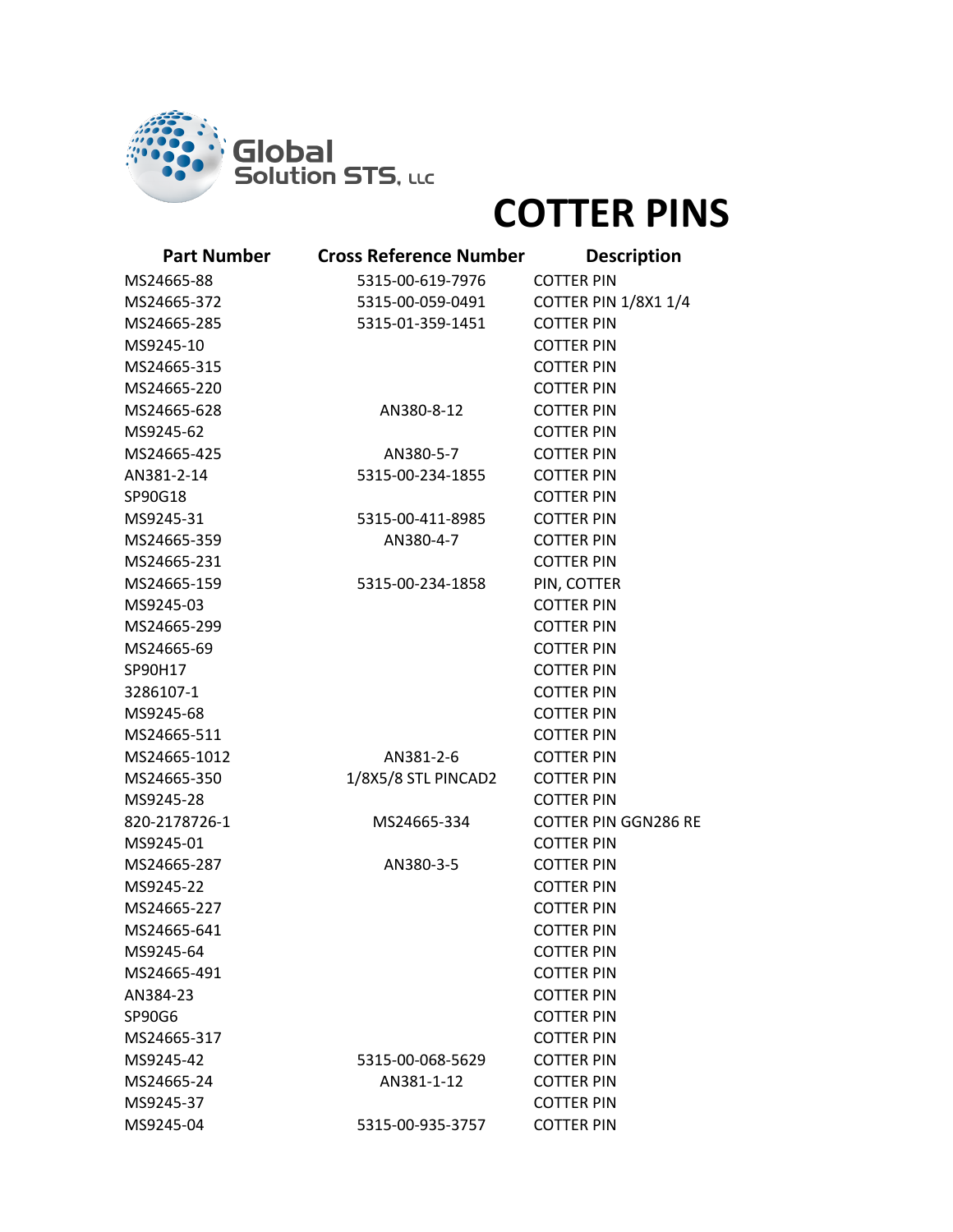

## **COTTER PINS**

| <b>Part Number</b> | <b>Cross Reference Number</b> | <b>Description</b>          |
|--------------------|-------------------------------|-----------------------------|
| MS24665-88         | 5315-00-619-7976              | <b>COTTER PIN</b>           |
| MS24665-372        | 5315-00-059-0491              | <b>COTTER PIN 1/8X1 1/4</b> |
| MS24665-285        | 5315-01-359-1451              | <b>COTTER PIN</b>           |
| MS9245-10          |                               | <b>COTTER PIN</b>           |
| MS24665-315        |                               | <b>COTTER PIN</b>           |
| MS24665-220        |                               | <b>COTTER PIN</b>           |
| MS24665-628        | AN380-8-12                    | <b>COTTER PIN</b>           |
| MS9245-62          |                               | <b>COTTER PIN</b>           |
| MS24665-425        | AN380-5-7                     | <b>COTTER PIN</b>           |
| AN381-2-14         | 5315-00-234-1855              | <b>COTTER PIN</b>           |
| SP90G18            |                               | <b>COTTER PIN</b>           |
| MS9245-31          | 5315-00-411-8985              | <b>COTTER PIN</b>           |
| MS24665-359        | AN380-4-7                     | <b>COTTER PIN</b>           |
| MS24665-231        |                               | <b>COTTER PIN</b>           |
| MS24665-159        | 5315-00-234-1858              | PIN, COTTER                 |
| MS9245-03          |                               | <b>COTTER PIN</b>           |
| MS24665-299        |                               | <b>COTTER PIN</b>           |
| MS24665-69         |                               | <b>COTTER PIN</b>           |
| SP90H17            |                               | <b>COTTER PIN</b>           |
| 3286107-1          |                               | <b>COTTER PIN</b>           |
| MS9245-68          |                               | <b>COTTER PIN</b>           |
| MS24665-511        |                               | <b>COTTER PIN</b>           |
| MS24665-1012       | AN381-2-6                     | <b>COTTER PIN</b>           |
| MS24665-350        | 1/8X5/8 STL PINCAD2           | <b>COTTER PIN</b>           |
| MS9245-28          |                               | <b>COTTER PIN</b>           |
| 820-2178726-1      | MS24665-334                   | <b>COTTER PIN GGN286 RE</b> |
| MS9245-01          |                               | <b>COTTER PIN</b>           |
| MS24665-287        | AN380-3-5                     | <b>COTTER PIN</b>           |
| MS9245-22          |                               | <b>COTTER PIN</b>           |
| MS24665-227        |                               | <b>COTTER PIN</b>           |
| MS24665-641        |                               | <b>COTTER PIN</b>           |
| MS9245-64          |                               | <b>COTTER PIN</b>           |
| MS24665-491        |                               | <b>COTTER PIN</b>           |
| AN384-23           |                               | <b>COTTER PIN</b>           |
| SP90G6             |                               | <b>COTTER PIN</b>           |
| MS24665-317        |                               | <b>COTTER PIN</b>           |
| MS9245-42          | 5315-00-068-5629              | <b>COTTER PIN</b>           |
| MS24665-24         | AN381-1-12                    | <b>COTTER PIN</b>           |
| MS9245-37          |                               | <b>COTTER PIN</b>           |
| MS9245-04          | 5315-00-935-3757              | <b>COTTER PIN</b>           |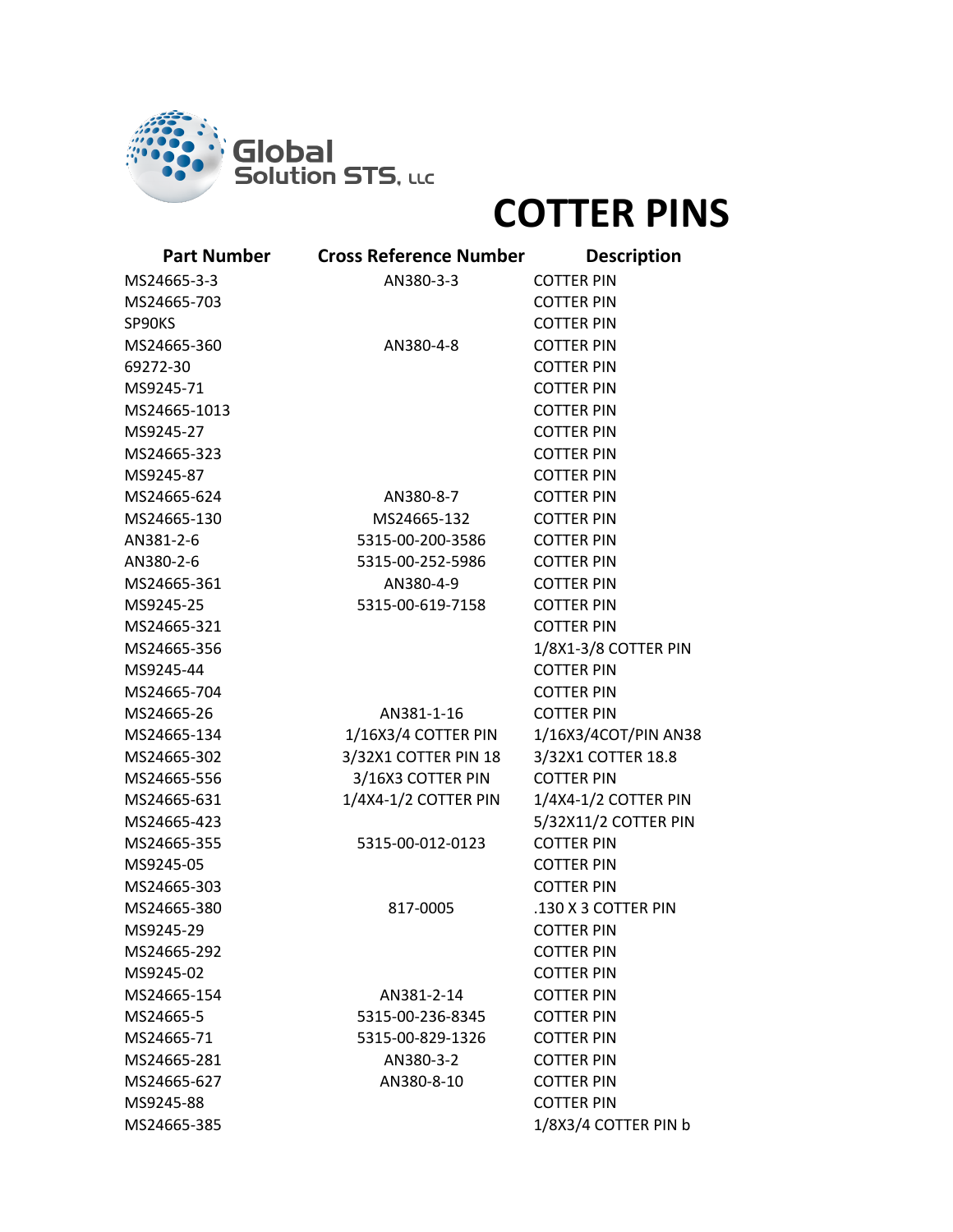

## **COTTER PINS**

| <b>Part Number</b> | <b>Cross Reference Number</b> | <b>Description</b>   |
|--------------------|-------------------------------|----------------------|
| MS24665-3-3        | AN380-3-3                     | <b>COTTER PIN</b>    |
| MS24665-703        |                               | <b>COTTER PIN</b>    |
| SP90KS             |                               | <b>COTTER PIN</b>    |
| MS24665-360        | AN380-4-8                     | <b>COTTER PIN</b>    |
| 69272-30           |                               | <b>COTTER PIN</b>    |
| MS9245-71          |                               | <b>COTTER PIN</b>    |
| MS24665-1013       |                               | <b>COTTER PIN</b>    |
| MS9245-27          |                               | <b>COTTER PIN</b>    |
| MS24665-323        |                               | <b>COTTER PIN</b>    |
| MS9245-87          |                               | <b>COTTER PIN</b>    |
| MS24665-624        | AN380-8-7                     | <b>COTTER PIN</b>    |
| MS24665-130        | MS24665-132                   | <b>COTTER PIN</b>    |
| AN381-2-6          | 5315-00-200-3586              | <b>COTTER PIN</b>    |
| AN380-2-6          | 5315-00-252-5986              | <b>COTTER PIN</b>    |
| MS24665-361        | AN380-4-9                     | <b>COTTER PIN</b>    |
| MS9245-25          | 5315-00-619-7158              | <b>COTTER PIN</b>    |
| MS24665-321        |                               | <b>COTTER PIN</b>    |
| MS24665-356        |                               | 1/8X1-3/8 COTTER PIN |
| MS9245-44          |                               | <b>COTTER PIN</b>    |
| MS24665-704        |                               | <b>COTTER PIN</b>    |
| MS24665-26         | AN381-1-16                    | <b>COTTER PIN</b>    |
| MS24665-134        | 1/16X3/4 COTTER PIN           | 1/16X3/4COT/PIN AN38 |
| MS24665-302        | 3/32X1 COTTER PIN 18          | 3/32X1 COTTER 18.8   |
| MS24665-556        | 3/16X3 COTTER PIN             | <b>COTTER PIN</b>    |
| MS24665-631        | 1/4X4-1/2 COTTER PIN          | 1/4X4-1/2 COTTER PIN |
| MS24665-423        |                               | 5/32X11/2 COTTER PIN |
| MS24665-355        | 5315-00-012-0123              | <b>COTTER PIN</b>    |
| MS9245-05          |                               | <b>COTTER PIN</b>    |
| MS24665-303        |                               | <b>COTTER PIN</b>    |
| MS24665-380        | 817-0005                      | .130 X 3 COTTER PIN  |
| MS9245-29          |                               | <b>COTTER PIN</b>    |
| MS24665-292        |                               | <b>COTTER PIN</b>    |
| MS9245-02          |                               | <b>COTTER PIN</b>    |
| MS24665-154        | AN381-2-14                    | <b>COTTER PIN</b>    |
| MS24665-5          | 5315-00-236-8345              | <b>COTTER PIN</b>    |
| MS24665-71         | 5315-00-829-1326              | <b>COTTER PIN</b>    |
| MS24665-281        | AN380-3-2                     | <b>COTTER PIN</b>    |
| MS24665-627        | AN380-8-10                    | <b>COTTER PIN</b>    |
| MS9245-88          |                               | <b>COTTER PIN</b>    |
| MS24665-385        |                               | 1/8X3/4 COTTER PIN b |